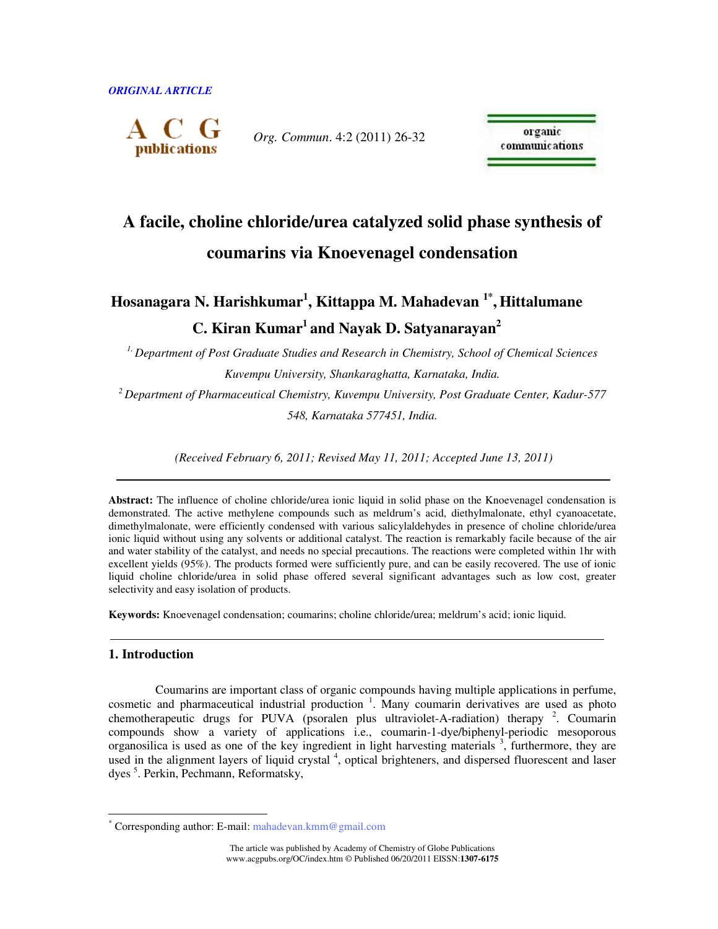

*Org. Commun*. 4:2 (2011) 26-32

organic communications

# **A facile, choline chloride/urea catalyzed solid phase synthesis of coumarins via Knoevenagel condensation**

## **Hosanagara N. Harishkumar<sup>1</sup> , Kittappa M. Mahadevan 1\* , Hittalumane C. Kiran Kumar<sup>1</sup> and Nayak D. Satyanarayan<sup>2</sup>**

*1, Department of Post Graduate Studies and Research in Chemistry, School of Chemical Sciences Kuvempu University, Shankaraghatta, Karnataka, India.* 

*<sup>2</sup>Department of Pharmaceutical Chemistry, Kuvempu University, Post Graduate Center, Kadur-577 548, Karnataka 577451, India.* 

 *(Received February 6, 2011; Revised May 11, 2011; Accepted June 13, 2011)* 

Abstract: The influence of choline chloride/urea ionic liquid in solid phase on the Knoevenagel condensation is demonstrated. The active methylene compounds such as meldrum's acid, diethylmalonate, ethyl cyanoacetate, dimethylmalonate, were efficiently condensed with various salicylaldehydes in presence of choline chloride/urea ionic liquid without using any solvents or additional catalyst. The reaction is remarkably facile because of the air and water stability of the catalyst, and needs no special precautions. The reactions were completed within 1hr with excellent yields (95%). The products formed were sufficiently pure, and can be easily recovered. The use of ionic liquid choline chloride/urea in solid phase offered several significant advantages such as low cost, greater selectivity and easy isolation of products.

**Keywords:** Knoevenagel condensation; coumarins; choline chloride/urea; meldrum's acid; ionic liquid.

## **1. Introduction**

 $\ddot{\phantom{a}}$ 

Coumarins are important class of organic compounds having multiple applications in perfume, cosmetic and pharmaceutical industrial production <sup>1</sup>. Many coumarin derivatives are used as photo chemotherapeutic drugs for PUVA (psoralen plus ultraviolet-A-radiation) therapy  $2$ . Coumarin compounds show a variety of applications i.e., coumarin-1-dye/biphenyl-periodic mesoporous organosilica is used as one of the key ingredient in light harvesting materials<sup>3</sup>, furthermore, they are used in the alignment layers of liquid crystal<sup>4</sup>, optical brighteners, and dispersed fluorescent and laser dyes<sup>5</sup>. Perkin, Pechmann, Reformatsky,

<sup>\*</sup> Corresponding author: E-mail: mahadevan.kmm@gmail.com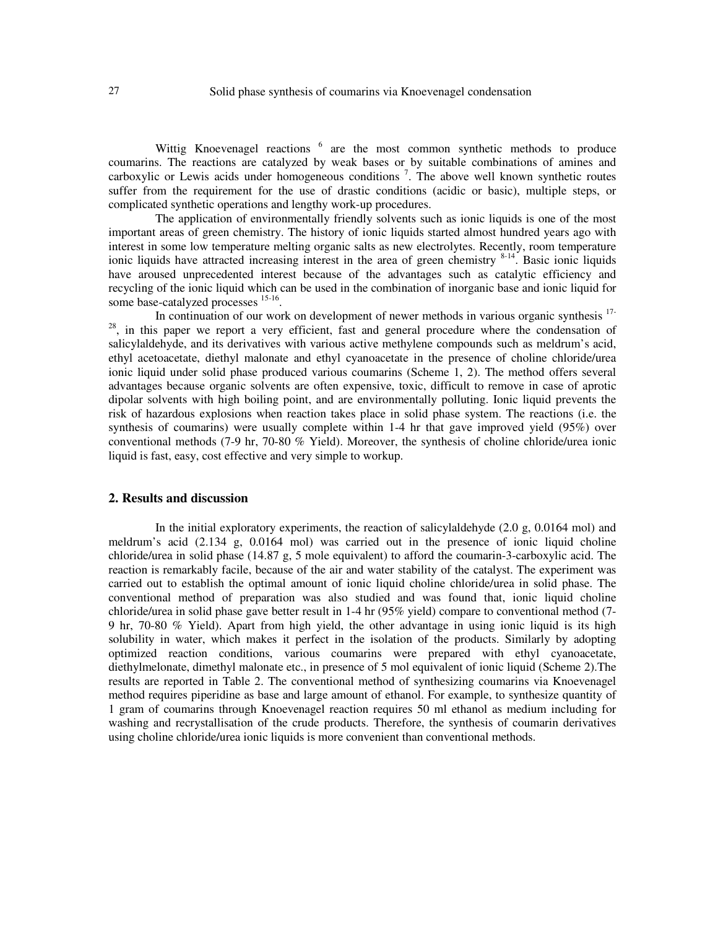Wittig Knoevenagel reactions <sup>6</sup> are the most common synthetic methods to produce coumarins. The reactions are catalyzed by weak bases or by suitable combinations of amines and carboxylic or Lewis acids under homogeneous conditions<sup>7</sup>. The above well known synthetic routes suffer from the requirement for the use of drastic conditions (acidic or basic), multiple steps, or complicated synthetic operations and lengthy work-up procedures.

The application of environmentally friendly solvents such as ionic liquids is one of the most important areas of green chemistry. The history of ionic liquids started almost hundred years ago with interest in some low temperature melting organic salts as new electrolytes. Recently, room temperature ionic liquids have attracted increasing interest in the area of green chemistry <sup>8-14</sup>. Basic ionic liquids have aroused unprecedented interest because of the advantages such as catalytic efficiency and recycling of the ionic liquid which can be used in the combination of inorganic base and ionic liquid for some base-catalyzed processes <sup>15-16</sup>.

In continuation of our work on development of newer methods in various organic synthesis <sup>17-</sup> <sup>28</sup>, in this paper we report a very efficient, fast and general procedure where the condensation of salicylaldehyde, and its derivatives with various active methylene compounds such as meldrum's acid, ethyl acetoacetate, diethyl malonate and ethyl cyanoacetate in the presence of choline chloride/urea ionic liquid under solid phase produced various coumarins (Scheme 1, 2). The method offers several advantages because organic solvents are often expensive, toxic, difficult to remove in case of aprotic dipolar solvents with high boiling point, and are environmentally polluting. Ionic liquid prevents the risk of hazardous explosions when reaction takes place in solid phase system. The reactions (i.e. the synthesis of coumarins) were usually complete within 1-4 hr that gave improved yield (95%) over conventional methods (7-9 hr, 70-80 % Yield). Moreover, the synthesis of choline chloride/urea ionic liquid is fast, easy, cost effective and very simple to workup.

#### **2. Results and discussion**

In the initial exploratory experiments, the reaction of salicylaldehyde  $(2.0 \text{ g}, 0.0164 \text{ mol})$  and meldrum's acid (2.134 g, 0.0164 mol) was carried out in the presence of ionic liquid choline chloride/urea in solid phase (14.87 g, 5 mole equivalent) to afford the coumarin-3-carboxylic acid. The reaction is remarkably facile, because of the air and water stability of the catalyst. The experiment was carried out to establish the optimal amount of ionic liquid choline chloride/urea in solid phase. The conventional method of preparation was also studied and was found that, ionic liquid choline chloride/urea in solid phase gave better result in 1-4 hr (95% yield) compare to conventional method (7- 9 hr, 70-80 % Yield). Apart from high yield, the other advantage in using ionic liquid is its high solubility in water, which makes it perfect in the isolation of the products. Similarly by adopting optimized reaction conditions, various coumarins were prepared with ethyl cyanoacetate, diethylmelonate, dimethyl malonate etc., in presence of 5 mol equivalent of ionic liquid (Scheme 2).The results are reported in Table 2. The conventional method of synthesizing coumarins via Knoevenagel method requires piperidine as base and large amount of ethanol. For example, to synthesize quantity of 1 gram of coumarins through Knoevenagel reaction requires 50 ml ethanol as medium including for washing and recrystallisation of the crude products. Therefore, the synthesis of coumarin derivatives using choline chloride/urea ionic liquids is more convenient than conventional methods.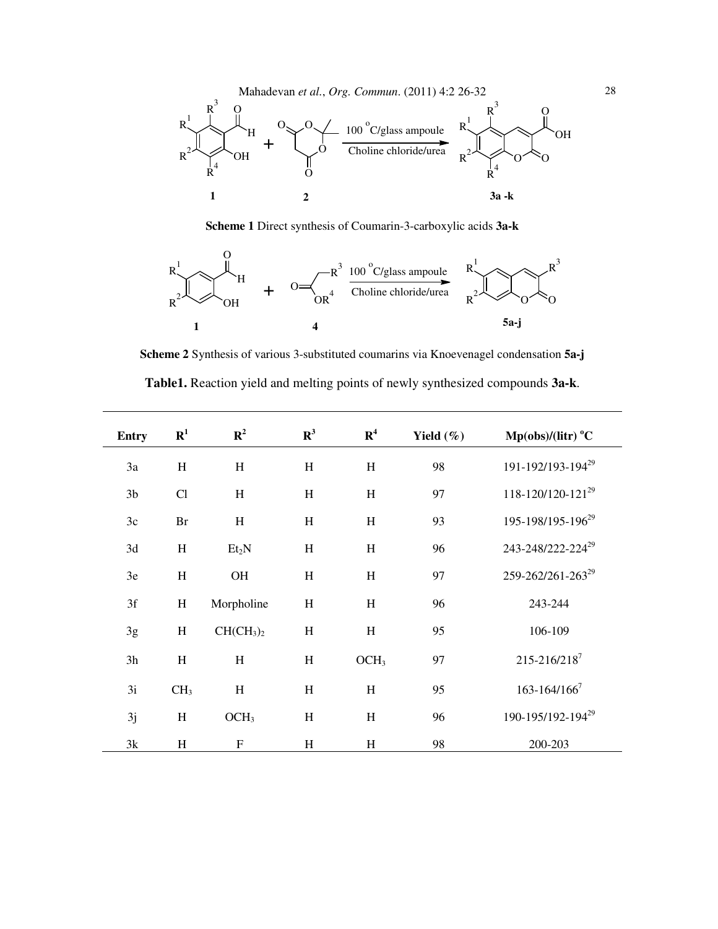

**Scheme 1** Direct synthesis of Coumarin-3-carboxylic acids **3a-k** 



**Scheme 2** Synthesis of various 3-substituted coumarins via Knoevenagel condensation **5a-j** 

| Table1. Reaction yield and melting points of newly synthesized compounds 3a-k. |  |  |  |  |
|--------------------------------------------------------------------------------|--|--|--|--|
|--------------------------------------------------------------------------------|--|--|--|--|

| <b>Entry</b>   | ${\bf R}^1$     | ${\bf R}^2$                       | $\mathbb{R}^3$ | R <sup>4</sup>            | Yield $(\%)$ | $Mp(obs)/(litr)$ <sup>°</sup> C |
|----------------|-----------------|-----------------------------------|----------------|---------------------------|--------------|---------------------------------|
| 3a             | H               | H                                 | H              | H                         | 98           | 191-192/193-194 <sup>29</sup>   |
| 3 <sub>b</sub> | Cl              | H                                 | H              | H                         | 97           | 118-120/120-121 <sup>29</sup>   |
| 3c             | Br              | $\boldsymbol{\mathrm{H}}$         | H              | H                         | 93           | 195-198/195-196 <sup>29</sup>   |
| 3d             | H               | Et <sub>2</sub> N                 | H              | $\rm H$                   | 96           | 243-248/222-224 <sup>29</sup>   |
| 3e             | $\rm H$         | OH                                | H              | H                         | 97           | 259-262/261-263 <sup>29</sup>   |
| 3f             | $\, {\rm H}$    | Morpholine                        | H              | H                         | 96           | 243-244                         |
| 3g             | H               | CH(CH <sub>3</sub> ) <sub>2</sub> | H              | H                         | 95           | 106-109                         |
| 3h             | H               | H                                 | H              | OCH <sub>3</sub>          | 97           | 215-216/2187                    |
| 3i             | CH <sub>3</sub> | H                                 | H              | $\boldsymbol{\mathrm{H}}$ | 95           | $163 - 164/166^7$               |
| 3j             | H               | OCH <sub>3</sub>                  | H              | H                         | 96           | 190-195/192-194 <sup>29</sup>   |
| 3k             | H               | $\mathbf F$                       | H              | H                         | 98           | 200-203                         |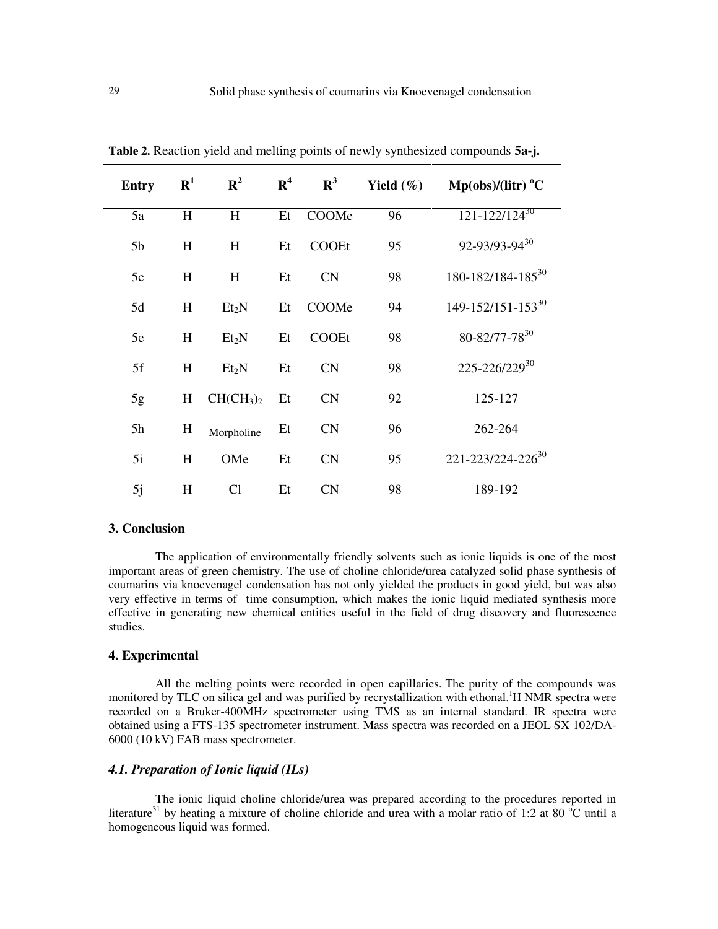| <b>Entry</b>   | ${\bf R}^1$ | $\mathbf{R}^2$                    | $\mathbf{R}^4$ | $\mathbf{R}^3$ | Yield $(\%)$ | $Mp(obs)/(litr)$ <sup>o</sup> C |
|----------------|-------------|-----------------------------------|----------------|----------------|--------------|---------------------------------|
| 5a             | H           | H                                 | Et             | COOMe          | 96           | $121 - 122 / 124^{30}$          |
| 5 <sub>b</sub> | H           | H                                 | Et             | <b>COOEt</b>   | 95           | 92-93/93-9430                   |
| 5c             | H           | H                                 | Et             | CN             | 98           | 180-182/184-185 <sup>30</sup>   |
| 5d             | H           | Et <sub>2</sub> N                 | Et             | COOMe          | 94           | $149 - 152/151 - 153^{30}$      |
| 5e             | H           | Et <sub>2</sub> N                 | Et             | COOEt          | 98           | 80-82/77-78 <sup>30</sup>       |
| 5f             | H           | Et <sub>2</sub> N                 | Et             | CN             | 98           | 225-226/22930                   |
| 5g             | H           | CH(CH <sub>3</sub> ) <sub>2</sub> | Et             | CN             | 92           | 125-127                         |
| 5h             | H           | Morpholine                        | Et             | CN             | 96           | 262-264                         |
| 5i             | H           | OMe                               | Et             | CN             | 95           | 221-223/224-226 <sup>30</sup>   |
| 5j             | H           | Cl                                | Et             | CN             | 98           | 189-192                         |

**Table 2.** Reaction yield and melting points of newly synthesized compounds **5a-j.**

#### **3. Conclusion**

The application of environmentally friendly solvents such as ionic liquids is one of the most important areas of green chemistry. The use of choline chloride/urea catalyzed solid phase synthesis of coumarins via knoevenagel condensation has not only yielded the products in good yield, but was also very effective in terms of time consumption, which makes the ionic liquid mediated synthesis more effective in generating new chemical entities useful in the field of drug discovery and fluorescence studies.

## **4. Experimental**

All the melting points were recorded in open capillaries. The purity of the compounds was monitored by TLC on silica gel and was purified by recrystallization with ethonal.<sup>1</sup>H NMR spectra were recorded on a Bruker-400MHz spectrometer using TMS as an internal standard. IR spectra were obtained using a FTS-135 spectrometer instrument. Mass spectra was recorded on a JEOL SX 102/DA-6000 (10 kV) FAB mass spectrometer.

## *4.1. Preparation of Ionic liquid (ILs)*

The ionic liquid choline chloride/urea was prepared according to the procedures reported in literature<sup>31</sup> by heating a mixture of choline chloride and urea with a molar ratio of 1:2 at 80  $^{\circ}$ C until a homogeneous liquid was formed.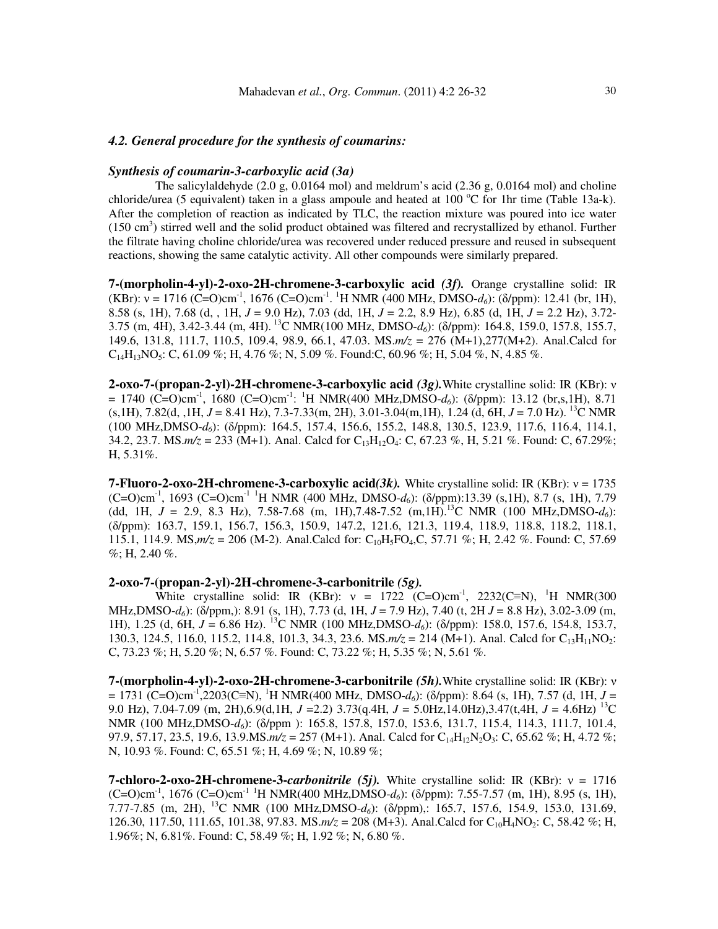#### *4.2. General procedure for the synthesis of coumarins:*

#### *Synthesis of coumarin-3-carboxylic acid (3a)*

The salicylaldehyde  $(2.0 \text{ g}, 0.0164 \text{ mol})$  and meldrum's acid  $(2.36 \text{ g}, 0.0164 \text{ mol})$  and choline chloride/urea (5 equivalent) taken in a glass ampoule and heated at 100 °C for 1hr time (Table 13a-k). After the completion of reaction as indicated by TLC, the reaction mixture was poured into ice water (150 cm<sup>3</sup>) stirred well and the solid product obtained was filtered and recrystallized by ethanol. Further the filtrate having choline chloride/urea was recovered under reduced pressure and reused in subsequent reactions, showing the same catalytic activity. All other compounds were similarly prepared.

**7-(morpholin-4-yl)-2-oxo-2H-chromene-3-carboxylic acid** *(3f).* Orange crystalline solid: IR (KBr):  $v = 1716$  (C=O)cm<sup>-1</sup>, 1676 (C=O)cm<sup>-1</sup>. <sup>1</sup>H NMR (400 MHz, DMSO-*d*<sub>6</sub>): (δ/ppm): 12.41 (br, 1H), 8.58 (s, 1H), 7.68 (d, , 1H, *J* = 9.0 Hz), 7.03 (dd, 1H, *J* = 2.2, 8.9 Hz), 6.85 (d, 1H, *J* = 2.2 Hz), 3.72- 3.75 (m, 4H), 3.42-3.44 (m, 4H).<sup>13</sup>C NMR(100 MHz, DMSO-*d6*): (δ/ppm): 164.8, 159.0, 157.8, 155.7, 149.6, 131.8, 111.7, 110.5, 109.4, 98.9, 66.1, 47.03. MS.*m/z* = 276 (M+1),277(M+2). Anal.Calcd for  $C_{14}H_{13}NO_5$ : C, 61.09 %; H, 4.76 %; N, 5.09 %. Found: C, 60.96 %; H, 5.04 %, N, 4.85 %.

**2-oxo-7-(propan-2-yl)-2H-chromene-3-carboxylic acid** *(3g).*White crystalline solid: IR (KBr): ν  $= 1740$  (C=O)cm<sup>-1</sup>, 1680 (C=O)cm<sup>-1</sup>: <sup>1</sup>H NMR(400 MHz,DMSO-*d*<sub>6</sub>): ( $\delta$ /ppm): 13.12 (br,s,1H), 8.71 (s,1H), 7.82(d, ,1H, *J* = 8.41 Hz), 7.3-7.33(m, 2H), 3.01-3.04(m,1H), 1.24 (d, 6H, *J* = 7.0 Hz). <sup>13</sup>C NMR (100 MHz,DMSO-*d6*): (δ/ppm): 164.5, 157.4, 156.6, 155.2, 148.8, 130.5, 123.9, 117.6, 116.4, 114.1, 34.2, 23.7. MS. $m/z = 233$  (M+1). Anal. Calcd for C<sub>13</sub>H<sub>12</sub>O<sub>4</sub>: C, 67.23 %, H, 5.21 %. Found: C, 67.29%; H, 5.31%.

**7-Fluoro-2-oxo-2H-chromene-3-carboxylic acid***(3k).* White crystalline solid: IR (KBr): ν = 1735 (C=O)cm-1, 1693 (C=O)cm-1 <sup>1</sup>H NMR (400 MHz, DMSO-*d*6): (δ/ppm):13.39 (s,1H), 8.7 (s, 1H), 7.79 (dd, 1H,  $J = 2.9$ , 8.3 Hz), 7.58-7.68 (m, 1H),7.48-7.52 (m,1H).<sup>13</sup>C NMR (100 MHz,DMSO- $d_6$ ): (δ/ppm): 163.7, 159.1, 156.7, 156.3, 150.9, 147.2, 121.6, 121.3, 119.4, 118.9, 118.8, 118.2, 118.1, 115.1, 114.9. MS, $m/z = 206$  (M-2). Anal.Calcd for: C<sub>10</sub>H<sub>5</sub>FO<sub>4</sub>,C, 57.71 %; H, 2.42 %. Found: C, 57.69  $\%$ ; H, 2.40 %.

#### **2-oxo-7-(propan-2-yl)-2H-chromene-3-carbonitrile** *(5g).*

White crystalline solid: IR (KBr):  $v = 1722$  (C=O)cm<sup>-1</sup>, 2232(C≡N), <sup>1</sup>H NMR(300 MHz,DMSO-*d6*): (δ/ppm,): 8.91 (s, 1H), 7.73 (d, 1H, *J* = 7.9 Hz), 7.40 (t, 2H *J* = 8.8 Hz), 3.02-3.09 (m, 1H), 1.25 (d, 6H, *J* = 6.86 Hz). <sup>13</sup>C NMR (100 MHz,DMSO-*d6*): (δ/ppm): 158.0, 157.6, 154.8, 153.7, 130.3, 124.5, 116.0, 115.2, 114.8, 101.3, 34.3, 23.6. MS. $m/z = 214$  (M+1). Anal. Calcd for C<sub>13</sub>H<sub>11</sub>NO<sub>2</sub>: C, 73.23 %; H, 5.20 %; N, 6.57 %. Found: C, 73.22 %; H, 5.35 %; N, 5.61 %.

**7-(morpholin-4-yl)-2-oxo-2H-chromene-3-carbonitrile** *(5h).*White crystalline solid: IR (KBr): ν = 1731 (C=O)cm-1,2203(C≡N), <sup>1</sup>H NMR(400 MHz, DMSO-*d6*): (δ/ppm): 8.64 (s, 1H), 7.57 (d, 1H, *J* = 9.0 Hz), 7.04-7.09 (m, 2H),6.9(d,1H, *J* =2.2) 3.73(q.4H, *J* = 5.0Hz,14.0Hz),3.47(t,4H, *J* = 4.6Hz) <sup>13</sup>C NMR (100 MHz,DMSO-*d6*): (δ/ppm ): 165.8, 157.8, 157.0, 153.6, 131.7, 115.4, 114.3, 111.7, 101.4, 97.9, 57.17, 23.5, 19.6, 13.9.MS. $m/z = 257$  (M+1). Anal. Calcd for C<sub>14</sub>H<sub>12</sub>N<sub>2</sub>O<sub>3</sub>: C, 65.62 %; H, 4.72 %; N, 10.93 %. Found: C, 65.51 %; H, 4.69 %; N, 10.89 %;

**7-chloro-2-oxo-2H-chromene-3-***carbonitrile (5j).* White crystalline solid: IR (KBr): ν = 1716 (C=O)cm-1, 1676 (C=O)cm-1 <sup>1</sup>H NMR(400 MHz,DMSO-*d6*): (δ/ppm): 7.55-7.57 (m, 1H), 8.95 (s, 1H), 7.77-7.85 (m, 2H), <sup>13</sup>C NMR (100 MHz,DMSO-*d6*): (δ/ppm),: 165.7, 157.6, 154.9, 153.0, 131.69, 126.30, 117.50, 111.65, 101.38, 97.83. MS. $m/z = 208$  (M+3). Anal.Calcd for C<sub>10</sub>H<sub>4</sub>NO<sub>2</sub>: C, 58.42 %; H, 1.96%; N, 6.81%. Found: C, 58.49 %; H, 1.92 %; N, 6.80 %.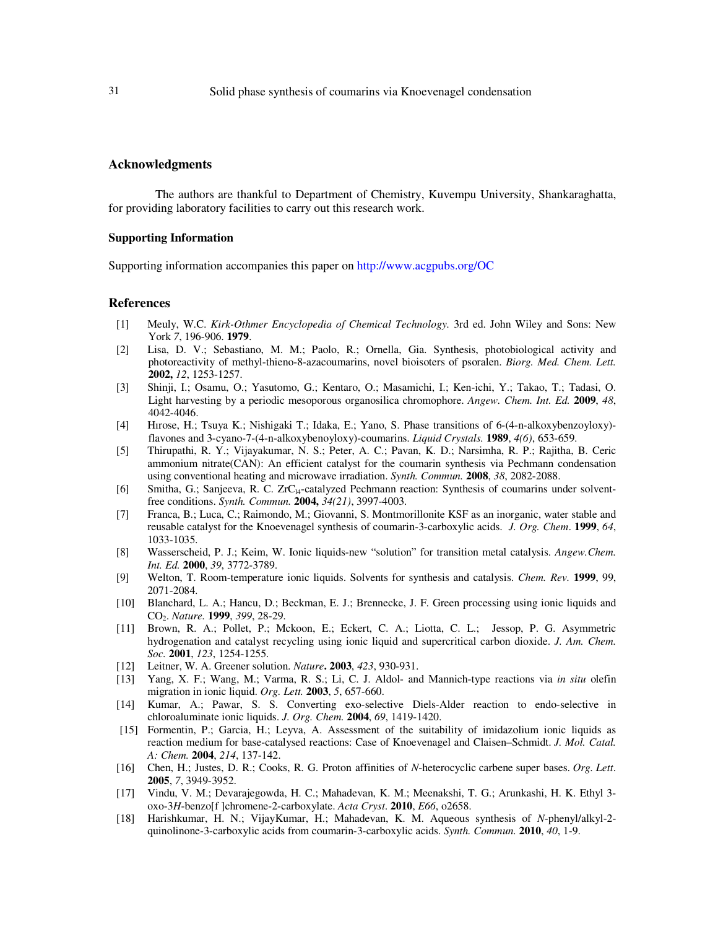#### **Acknowledgments**

The authors are thankful to Department of Chemistry, Kuvempu University, Shankaraghatta, for providing laboratory facilities to carry out this research work.

#### **Supporting Information**

Supporting information accompanies this paper on http://www.acgpubs.org/OC

#### **References**

- [1] Meuly, W.C. *Kirk-Othmer Encyclopedia of Chemical Technology.* 3rd ed. John Wiley and Sons: New York *7*, 196-906. **1979**.
- [2] Lisa, D. V.; Sebastiano, M. M.; Paolo, R.; Ornella, Gia. Synthesis, photobiological activity and photoreactivity of methyl-thieno-8-azacoumarins, novel bioisoters of psoralen. *Biorg. Med. Chem. Lett.* **2002,** *12*, 1253-1257.
- [3] Shinji, I.; Osamu, O.; Yasutomo, G.; Kentaro, O.; Masamichi, I.; Ken-ichi, Y.; Takao, T.; Tadasi, O. Light harvesting by a periodic mesoporous organosilica chromophore. *Angew. Chem. Int. Ed.* **2009**, *48*, 4042-4046.
- [4] Hırose, H.; Tsuya K.; Nishigaki T.; Idaka, E.; Yano, S. Phase transitions of 6-(4-n-alkoxybenzoyloxy) flavones and 3-cyano-7-(4-n-alkoxybenoyloxy)-coumarins. *Liquid Crystals.* **1989**, *4(6)*, 653-659.
- [5] Thirupathi, R. Y.; Vijayakumar, N. S.; Peter, A. C.; Pavan, K. D.; Narsimha, R. P.; Rajitha, B. Ceric ammonium nitrate(CAN): An efficient catalyst for the coumarin synthesis via Pechmann condensation using conventional heating and microwave irradiation. *Synth. Commun.* **2008**, *38*, 2082-2088.
- [6] Smitha, G.; Sanjeeva, R. C. ZrC<sub>l4</sub>-catalyzed Pechmann reaction: Synthesis of coumarins under solventfree conditions. *Synth. Commun.* **2004,** *34(21)*, 3997-4003.
- [7] Franca, B.; Luca, C.; Raimondo, M.; Giovanni, S. Montmorillonite KSF as an inorganic, water stable and reusable catalyst for the Knoevenagel synthesis of coumarin-3-carboxylic acids. *J. Org. Chem*. **1999**, *64*, 1033-1035.
- [8] Wasserscheid, P. J.; Keim, W. Ionic liquids-new "solution" for transition metal catalysis. *Angew.Chem. Int. Ed.* **2000**, *39*, 3772-3789.
- [9] Welton, T. Room-temperature ionic liquids. Solvents for synthesis and catalysis. *Chem. Rev.* **1999**, 99, 2071-2084.
- [10] Blanchard, L. A.; Hancu, D.; Beckman, E. J.; Brennecke, J. F. Green processing using ionic liquids and CO2. *Nature.* **1999**, *399*, 28-29.
- [11] Brown, R. A.; Pollet, P.; Mckoon, E.; Eckert, C. A.; Liotta, C. L.; Jessop, P. G. Asymmetric hydrogenation and catalyst recycling using ionic liquid and supercritical carbon dioxide. *J. Am. Chem. Soc.* **2001**, *123*, 1254-1255.
- [12] Leitner, W. A. Greener solution. *Nature***. 2003**, *423*, 930-931.
- [13] Yang, X. F.; Wang, M.; Varma, R. S.; Li, C. J. Aldol- and Mannich-type reactions via *in situ* olefin migration in ionic liquid. *Org. Lett.* **2003**, *5*, 657-660.
- [14] Kumar, A.; Pawar, S. S. Converting exo-selective Diels-Alder reaction to endo-selective in chloroaluminate ionic liquids. *J. Org. Chem.* **2004**, *69*, 1419-1420.
- [15] Formentin, P.; Garcia, H.; Leyva, A. Assessment of the suitability of imidazolium ionic liquids as reaction medium for base-catalysed reactions: Case of Knoevenagel and Claisen–Schmidt. *J. Mol. Catal. A: Chem.* **2004**, *214*, 137-142.
- [16] Chen, H.; Justes, D. R.; Cooks, R. G. Proton affinities of *N*-heterocyclic carbene super bases. *Org. Lett*. **2005**, *7*, 3949-3952.
- [17] Vindu, V. M.; Devarajegowda, H. C.; Mahadevan, K. M.; Meenakshi, T. G.; Arunkashi, H. K. Ethyl 3 oxo-3*H*-benzo[f ]chromene-2-carboxylate. *Acta Cryst*. **2010**, *E66*, o2658.
- [18] Harishkumar, H. N.; VijayKumar, H.; Mahadevan, K. M. Aqueous synthesis of *N*-phenyl/alkyl-2 quinolinone-3-carboxylic acids from coumarin-3-carboxylic acids. *Synth. Commun.* **2010**, *40*, 1-9.